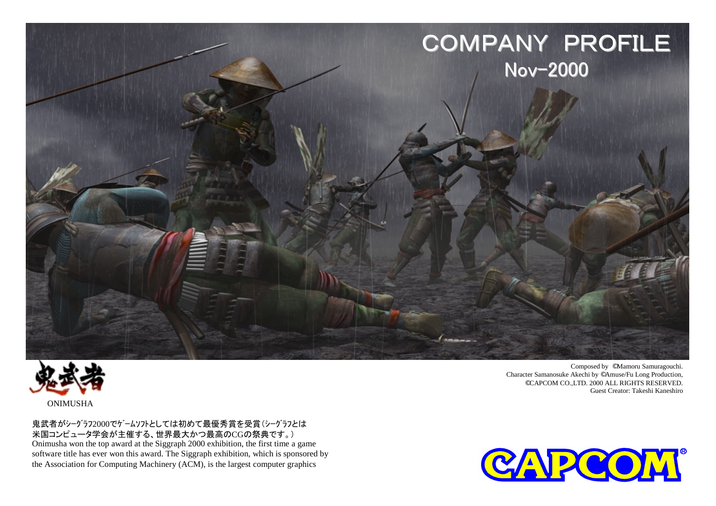



鬼武者がシーグラフ2000でゲームソフトとしては初めて最優秀賞を受賞(シーグラフとは 米国コンピュータ学会が主催する、世界最大かつ最高のCGの祭典です。) Onimusha won the top award at the Siggraph 2000 exhibition, the first time a game software title has ever won this award. The Siggraph exhibition, which is sponsored by the Association for Computing Machinery (ACM), is the largest computer graphics

Composed by ©Mamoru Samuragouchi. Character Samanosuke Akechi by ©Amuse/Fu Long Production, ©CAPCOM CO.,LTD. 2000 ALL RIGHTS RESERVED. Guest Creator: Takeshi Kaneshiro

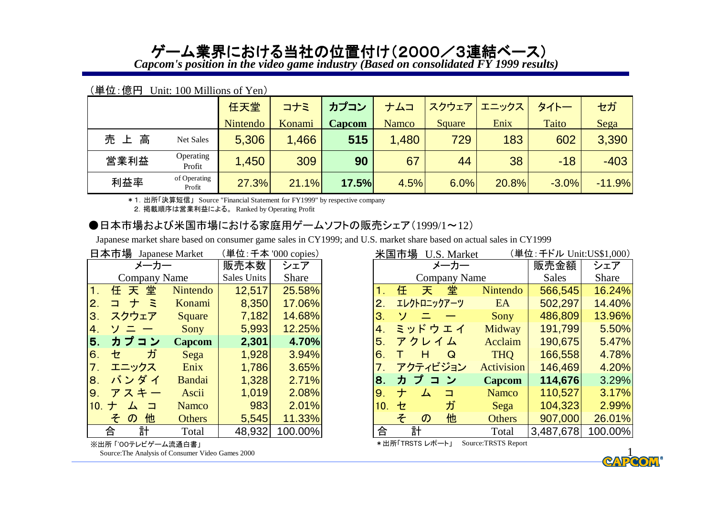# ゲーム業界における当社の位置付け(2000/3連結ベース)

*Capcom's position in the video game industry (Based on consolidated FY 1999 results)*

|      |                        | 任天堂      | コナミ    | カプコン   | ナムコ          | スクウェア  | エニックス | タイトー    | セガ       |
|------|------------------------|----------|--------|--------|--------------|--------|-------|---------|----------|
|      |                        | Nintendo | Konami | Capcom | <b>Namco</b> | Square | Enix  | Taito   | Sega     |
| 売上高  | Net Sales              | 5,306    | 1,466  | 515    | 1,480        | 729    | 183   | 602     | 3,390    |
| 営業利益 | Operating<br>Profit    | 1,450    | 309    | 90     | 67           | 44     | 38    | $-18$   | $-403$   |
| 利益率  | of Operating<br>Profit | 27.3%    | 21.1%  | 17.5%  | 4.5%         | 6.0%   | 20.8% | $-3.0%$ | $-11.9%$ |

#### (単位:億円 Unit: 100 Millions of Yen)

\*1.出所「決算短信」 Source "Financial Statement for FY1999" by respective company

2.掲載順序は営業利益による。 Ranked by Operating Profit

### ●日本市場および米国市場における家庭用ゲームソフトの販売シェア(1999/1~12)

Japanese market share based on consumer game sales in CY1999; and U.S. market share based on actual sales in CY1999

|                  |                    |                     | 日本市場 Japanese Market | (単位: 千本 '000 copies) |              |
|------------------|--------------------|---------------------|----------------------|----------------------|--------------|
|                  |                    | メーカー                |                      | 販売本数                 | シェア          |
|                  |                    | <b>Company Name</b> |                      | Sales Units          | <b>Share</b> |
| $\mathbf 1$ .    |                    | 任天堂                 | Nintendo             | 12,517               | 25.58%       |
| 2.               | コナミ                |                     | Konami               | 8,350                | 17.06%       |
| З.               | スクウェア              |                     | Square               | 7,182                | 14.68%       |
| 4.               | ソニー                |                     | Sony                 | 5,993                | 12.25%       |
| 5.               | カプコン               |                     | <b>Capcom</b>        | 2,301                | 4.70%        |
| 6.               | セ                  | ガ                   | Sega                 | 1,928                | 3.94%        |
| $\overline{7}$ . | エニックス              |                     | Enix                 | 1,786                | 3.65%        |
| 8.               | バンダイ               |                     | Bandai               | 1,328                | 2.71%        |
| 9.               | アスキー               |                     | Ascii                | 1,019                | 2.08%        |
| 10.              | $\pm$              | ム コ                 | <b>Namco</b>         | 983                  | 2.01%        |
|                  | $\mathcal{D}$<br>F | 他                   | <b>Others</b>        | 5,545                | 11.33%       |
| 合                |                    | 計                   | Total                | 48,932               | 100.00%      |

|         | 日本市場 Japanese Market |               |             | 単位: 千本 '000 copies) | 米国市場<br>U.S. Market |   |                            |                     |               | (単位: 千ドル Unit:US\$1,000) |         |  |  |
|---------|----------------------|---------------|-------------|---------------------|---------------------|---|----------------------------|---------------------|---------------|--------------------------|---------|--|--|
|         | メーカー                 |               | 販売本数        | シェア                 |                     |   |                            | メーカー                |               | 販売金額                     | シェア     |  |  |
|         | <b>Company Name</b>  |               | Sales Units | Share               |                     |   |                            | <b>Company Name</b> |               | Sales                    | Share   |  |  |
| 1.      | 任天堂                  | Nintendo      | 12,517      | 25.58%              |                     | 任 | 天                          | 堂                   | Nintendo      | 566,545                  | 16.24%  |  |  |
| 2.      | $\bar{z}$<br>⊐.<br>ナ | Konami        | 8,350       | 17.06%              | 2.                  |   |                            | エレクトロニックアーツ         | EA            | 502,297                  | 14.40%  |  |  |
| 3.      | スクウェア                | Square        | 7,182       | 14.68%              | 3.                  | ソ |                            |                     | <b>Sony</b>   | 486,809                  | 13.96%  |  |  |
| 4.      | ソニ                   | Sony          | 5,993       | 12.25%              | 4.                  |   |                            | ミッドウエイ              | Midway        | 191,799                  | 5.50%   |  |  |
| 5.      | カプコン                 | <b>Capcom</b> | 2,301       | 4.70%               | 5 <sub>1</sub>      |   | アクレイム                      |                     | Acclaim       | 190,675                  | 5.47%   |  |  |
| 6.      | ガ<br>セ               | Sega          | 1,928       | 3.94%               | 6.                  |   | H                          | Q                   | <b>THQ</b>    | 166,558                  | 4.78%   |  |  |
| 7.      | エニックス                | Enix          | 1,786       | 3.65%               |                     |   |                            | アクティビジョン            | Activision    | 146,469                  | 4.20%   |  |  |
| 8.      | バンダイ                 | Bandai        | 1,328       | 2.71%               | 8.                  |   | カプコン                       |                     | Capcom        | 114,676                  | 3.29%   |  |  |
| 9.      | アスキー                 | Ascii         | 1,019       | 2.08%               | 9.                  | ナ | 厶                          | ⊐                   | Namco         | 110,527                  | 3.17%   |  |  |
| 10. $+$ | □<br>┴               | <b>Namco</b>  | 983         | 2.01%               | 10.                 | セ |                            | ガ                   | Sega          | 104,323                  | 2.99%   |  |  |
|         | 他<br>その              | <b>Others</b> | 5,545       | 11.33%              |                     | そ | $\boldsymbol{\mathcal{D}}$ | 他                   | <b>Others</b> | 907,000                  | 26.01%  |  |  |
|         | 計<br>合               | Total         | 48,932      | 100.00%             | 合                   |   | 計                          |                     | Total         | 3,487,678                | 100.00% |  |  |

\*出所「TRSTS レポート」 Source:TRSTS Report

※出所 「'00テレビゲーム流通白書」

Source:The Analysis of Consumer Video Games 2000

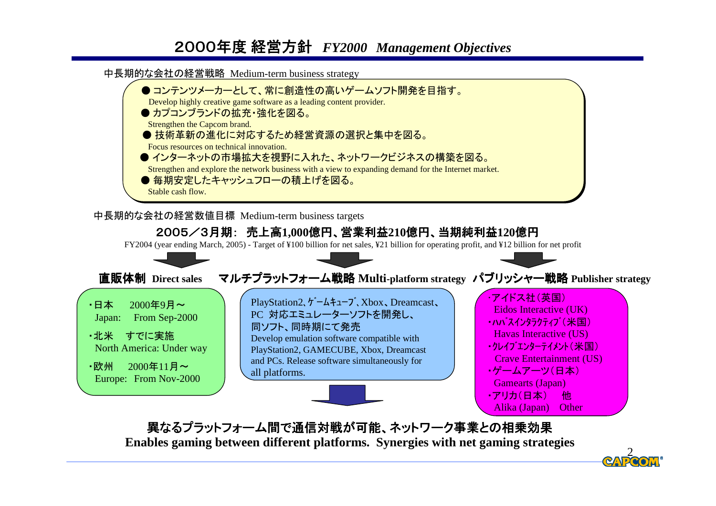## 2000年度 経営方針 経営方針 *FY2000 Management Objectives*

中長期的な会社の経営戦略 Medium-term business strategy



中長期的な会社の経営数値目標 Medium-term business targets



異なるプラットフォーム間で通信対戦が可能、ネットワーク事業との相乗効果 **Enables gaming between different platforms. Synergies with net gaming strategies**

2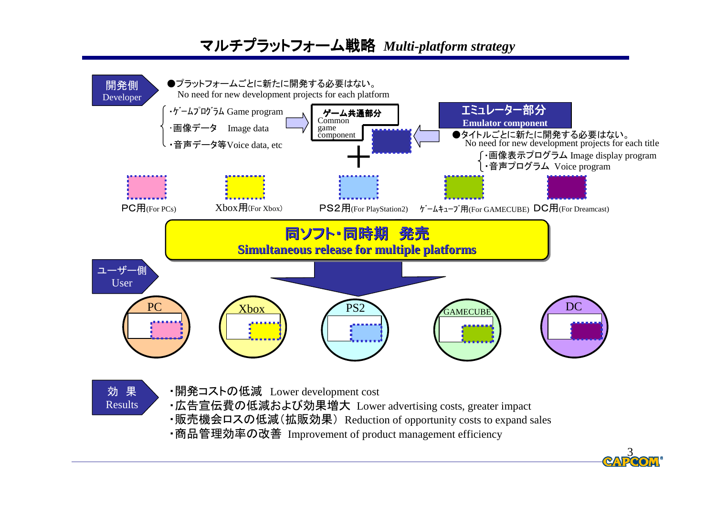## マルチプラットフォーム戦略 *Multi-platform strategy*



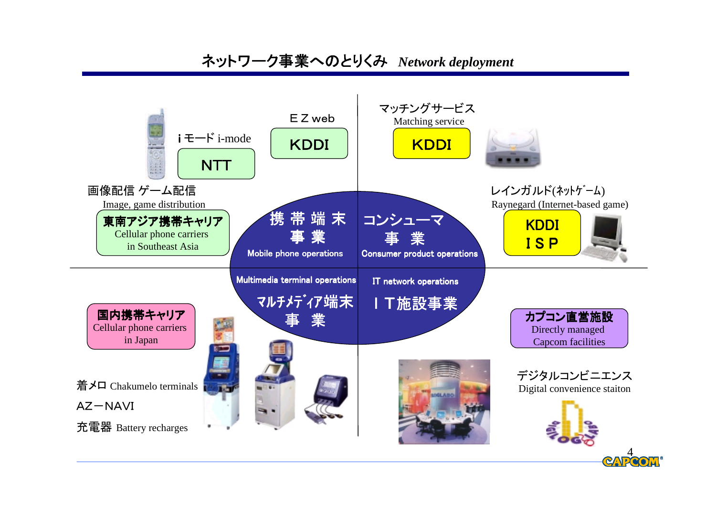## ネットワーク事業へのとりくみ *Network deployment*

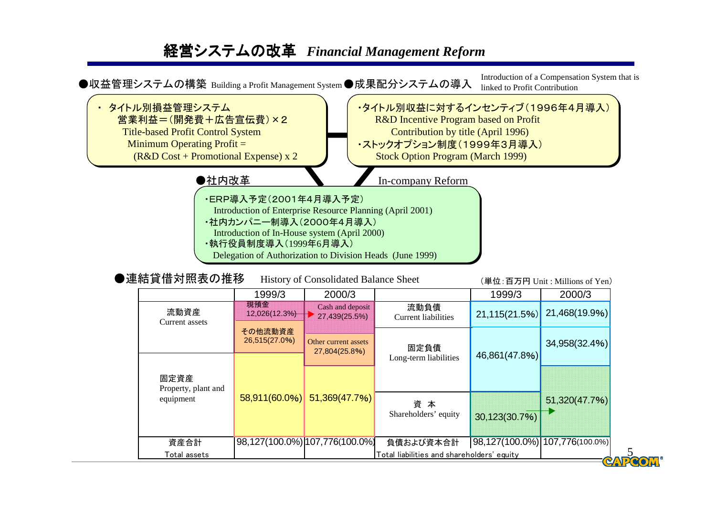## 経営システムの改革 *Financial Management Reform*



資産合計 98,127(100.0%) 107,776(100.0%) 負債および資本合計 98,127(100.0%) 107,776(100.0%)

30,123(30.7%)

Total assets **Total liabilities and shareholders' equity** 

5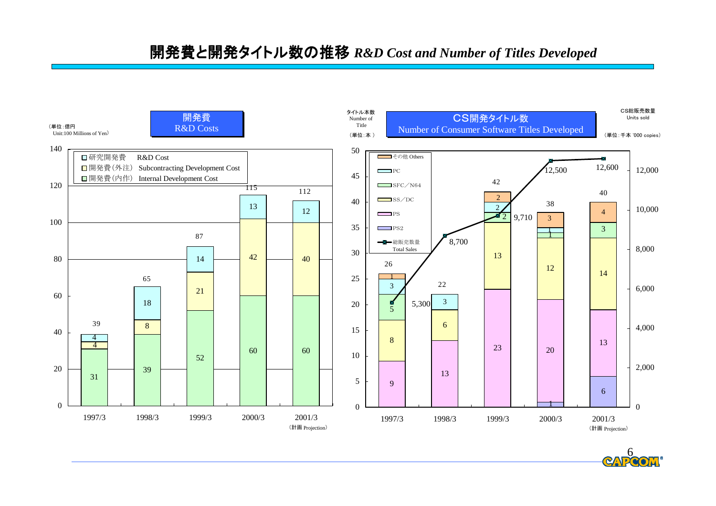開発費と開発タイトル数の推移 *R&D Cost and Number of Titles Developed*



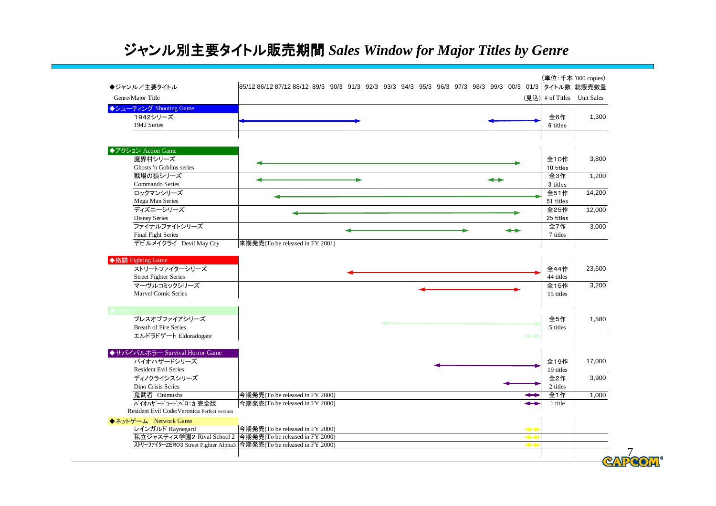# ジャンル別主要タイトル販売期間 *Sales Window for Major Titles by Genre*

| ◆ジャンル/主要タイトル                                                      | 85/12 86/12 87/12 88/12 89/3 90/3 91/3 92/3 93/3 94/3 95/3 96/3 97/3 98/3 99/3 00/3 01/3   タイトル数  総販売数量 |                                                 |                   |
|-------------------------------------------------------------------|---------------------------------------------------------------------------------------------------------|-------------------------------------------------|-------------------|
| Genre/Major Title                                                 |                                                                                                         | $(\overline{\mathbf{R}}\mathbf{L})$ # of Titles | <b>Unit Sales</b> |
| ◆シューティング Shooting Game                                            |                                                                                                         |                                                 |                   |
| 1942シリーズ                                                          |                                                                                                         | 全6作                                             | 1,300             |
| 1942 Series                                                       |                                                                                                         | 6 titles                                        |                   |
|                                                                   |                                                                                                         |                                                 |                   |
|                                                                   |                                                                                                         |                                                 |                   |
| ◆アクション Action Game                                                |                                                                                                         |                                                 |                   |
| 魔界村シリーズ                                                           |                                                                                                         | 全10作                                            | 3,800             |
| Ghosts 'n Goblins series<br>戦場の狼シリーズ                              |                                                                                                         | 10 titles<br>全3作                                | 1,200             |
| Commando Series                                                   |                                                                                                         | 3 titles                                        |                   |
| ロックマンシリーズ                                                         |                                                                                                         | 全51作                                            | 14,200            |
| Mega Man Series                                                   |                                                                                                         | 51 titles                                       |                   |
| ディズニーシリーズ                                                         |                                                                                                         | 全25作                                            | 12,000            |
| <b>Disney Series</b>                                              |                                                                                                         | 25 titles                                       |                   |
| ファイナルファイトシリーズ                                                     |                                                                                                         | 全7作                                             | 3,000             |
| <b>Final Fight Series</b>                                         |                                                                                                         | 7 titles                                        |                   |
| デビルメイクライ Devil May Cry                                            | 来期発売(To be released in FY 2001)                                                                         |                                                 |                   |
|                                                                   |                                                                                                         |                                                 |                   |
| ◆格闘 Fighting Game                                                 |                                                                                                         |                                                 |                   |
|                                                                   |                                                                                                         |                                                 |                   |
| ストリートファイターシリーズ                                                    |                                                                                                         | 全44作                                            | 23,600            |
| <b>Street Fighter Series</b>                                      |                                                                                                         | 44 titles                                       |                   |
| マーヴルコミックシリーズ                                                      |                                                                                                         | 全15作                                            | 3,200             |
| Marvel Comic Series                                               |                                                                                                         | 15 titles                                       |                   |
|                                                                   |                                                                                                         |                                                 |                   |
| ブレスオブファイアシリーズ                                                     |                                                                                                         | 全5作                                             | 1,580             |
| <b>Breath of Fire Series</b>                                      |                                                                                                         | 5 titles                                        |                   |
| エルドラドゲート Eldoradogate                                             |                                                                                                         |                                                 |                   |
|                                                                   |                                                                                                         |                                                 |                   |
| ◆サバイバルホラー Survival Horror Game                                    |                                                                                                         |                                                 |                   |
| バイオハザードシリーズ                                                       |                                                                                                         | 全19作                                            | 17,000            |
| <b>Resident Evil Series</b>                                       |                                                                                                         | 19 titles                                       |                   |
| ディノクライシスシリーズ                                                      |                                                                                                         | 全2作                                             | 3,900             |
| Dino Crisis Series                                                |                                                                                                         | 2 titles                                        |                   |
| 鬼武者 Onimusha                                                      | 今期発売(To be released in FY 2000)                                                                         | 全1作                                             | 1,000             |
| バイオハザードコードベロニカ完全版<br>Resident Evil Code: Veronica Perfect version | 今期発売(To be released in FY 2000)                                                                         | 1 title                                         |                   |
|                                                                   |                                                                                                         |                                                 |                   |
| ◆ネットゲーム Network Game                                              |                                                                                                         |                                                 |                   |
| レインガルド Raynegard                                                  | 今期発売(To be released in FY 2000)<br>私立ジャスティス学園2 Rival School 2 今期発売(To be released in FY 2000)           |                                                 |                   |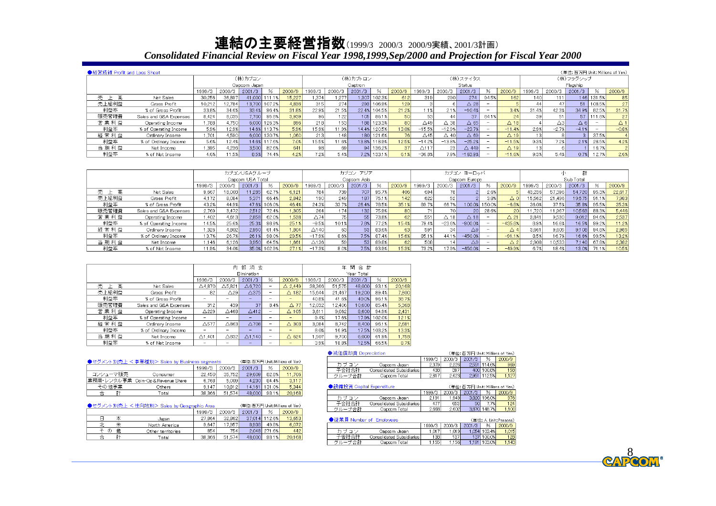### 連結の主要経営指数(1999/3 2000/3 2000/9実績、2001/3計画) *Consolidated Financial Review on Fiscal Year 1998,1999,Sep/2000 and Projection for Fiscal Year 2000*

| ●経営成績 Profit and Loss Sheet |                        |        |        |              |               |        |        |                    |          |               |        |                 |                |                |       |                  |        |               | (単位:百万円 Unit: Millions of Yen) |        |           |
|-----------------------------|------------------------|--------|--------|--------------|---------------|--------|--------|--------------------|----------|---------------|--------|-----------------|----------------|----------------|-------|------------------|--------|---------------|--------------------------------|--------|-----------|
|                             |                        |        |        | (株)カブコン      |               |        |        |                    | (株)カブトロン |               |        |                 |                | (株)ステイタス       |       |                  |        |               | (株)フラグシップ                      |        |           |
|                             |                        |        |        | Capcom Japan |               |        |        |                    | Captron  |               |        |                 |                | Status         |       |                  |        |               | Flagship                       |        |           |
|                             |                        | 1999/3 | 2000/3 | 2001/3       |               | 2000/9 | 1999/3 | 2000/3             | 2001/3   | $\frac{0}{6}$ | 2000/9 | 1999/3          | 2000/3         | 2001/3         | %     | 2000/9           | 1999/3 | 2000/3        | 2001/3                         |        | 2000/9    |
| 売<br>上高                     | Net Sales              | 30,256 | 36,897 |              | 41,000 111.1% | 15,227 | 1,374  | 1.277 <sub>h</sub> | 1,307    | 102.3%        | 612    | 319             | 290            | 274            | 94.5% | 162 <sub>1</sub> | 140    | 111           | 146                            | 131.5% | 85        |
| 売上総利益                       | Gross Profit           | 10,212 | 12,784 |              | 13,700 107.2% | 4,836  | 315    | 274                | 293      | 106.9%        | 129    |                 |                | $\Delta$ 28    |       |                  |        |               | 51                             | 108.5% | 27        |
| 利益率                         | % of Gross Profit      | 33.8%  | 34.6%  | 33.4%        | 96.4%         | 31.8%  | 22.9%  | 21.5%              | 22.4%    | 104.5%        | 21.2%  | $1.1\%$         | 2.1%           | $-10.4%$       |       | 3.49             | 31.4%  | 42.3%         | 34.9%                          | 82.5%  | 31.7%     |
| 販売管理費                       | Sales and G&A Expenses | 8,424  | 8,035  | 7.700        | 95.8%         | 3.939  | 96     | 122                | 105      | 86.1%         | 50     | 53              | 44             | 37             | 84.1% | 24               | 39     | 51            | 57                             | 111.8% | 27        |
| 営業利益                        | Operating Income       | .788   | 4.750  | 6,000        | 126.3%        | 896    | 218    | 153                | 188      | 123.3%        | 80     | $\triangle$ 49  | ∆ 38 l         | $\triangle$ 65 |       | $\triangle$ 18   |        | $\triangle$ 3 | $\triangle$ 6                  | -      | $\Delta'$ |
| 利益率                         | % of Operating Income  | 5.9%   | 12.9%  | 14.6%        | 113.7%        | 5.9%   | 15.9%  | 11.9%              | 14.4%    | 120.5%        | 13.0%  | $-15.5%$        | $-12.9%$       | $-23.7%$       |       | $-11.4%$         | 2.9%   | $-2.7%$       | $-4.1%$                        |        | $-0.8%$   |
| 経常利益                        | Ordinary Income        | .701   | 4.590  | 6,000        | 130.7%        | 060    | 2131   | 148)               | 180      | 121.6%        |        | $\triangle$ 45  | $\triangle$ 40 | ∆ 691          |       | $\triangle$ 19   |        |               |                                | 37.5%  |           |
| 利益率                         | % of Ordinary Income   | 5.6%   | 12.4%  | 14.6%        | 117.6%        | 7.0%   | 15.5%  | 11.6%              | 13.8%    | 118.9%        | 12.5%  | $-14.2%$        | $-13.8%$       | $-25.2%$       |       | $-11.5%$         | 9.3%   | 7.2%          | 2.1%                           | 28.5%  | 4.2%      |
| 当期利益                        | Net Income             | .395   | 4.236  | 3,500        | 82.6%         | 641    | 981    | 69                 | 94       | 136.2%        | 37     | $\triangle$ 117 | 23             | △ 449          |       | $\triangle$ 19   | 13     |               |                                | 16.7%  |           |
| 利益率                         | % of Net Income        | 4.6%   | 11.5%  | 8.5%         | 74.4%         | 4.2%   | 7.2%   | 5.4%               | 7.2%     | 133.1%        | 6.1%   | $-36.8%$        | 7.9%           | $-163.9%$      |       | $-11.6%$         | 9.3%   | 5.4%          | 0.7%                           | 12.7%  | 2.6%      |

|         |                        | カブコンUSAグループ |        |                  |        |        |                  |        | カブコン アジア    |       |        |        |                 | カブコン ヨーロッパ     |        |                |           |        |        |       |        |
|---------|------------------------|-------------|--------|------------------|--------|--------|------------------|--------|-------------|-------|--------|--------|-----------------|----------------|--------|----------------|-----------|--------|--------|-------|--------|
|         |                        |             |        | Capcom USA Total |        |        |                  |        | Capcom Asia |       |        |        |                 | Capcom Europe  |        |                | Sub Total |        |        |       |        |
|         |                        | 1999/3      | 2000/3 | 2001/3           | %      | 2000/9 | 1999/3           | 2000/3 | 2001/3      | %     | 2000/9 | 1999/3 | 2000/3          | 2001/3         | %      | 2000/9         | 1999/3    | 2000/3 | 2001/3 | %     | 2000/9 |
| 売上<br>高 | Net Sales              | 9.667       | 18,003 | 11,285           | 62.7%  | 6.121  | 784              | 739)   | 707         | 95.7% | 406    | 694    | 781             |                | 2.6%   |                | 43.236    | 57.396 | 54,720 | 95.3% | 22,617 |
| 売上総利益   | Gross Profit           | 4.172       | 8,084  | 5,371            | 66.4%  | 2.842  | 190 <sub>1</sub> | 249    | 187         | 75.1% | 142.   | 622    | 52              |                | 3.8%   |                | 15.562    | 21.496 | 19.575 | 91.1% | 7,983  |
| 利益率     | % of Gross Profit      | 43.2%       | 44.9%  | 47.6%            | 106.0% | 46.4%  | 24.3%            | 33.7%  | 26.4%       | 78.5% | 35.1%  | 89.7%  | 66.7%           | 100.0%         | 150.0% | $-6.8%$        | 36.0%     | 37.5%  | 35.8%  | 95.5% | 35.3%  |
| 販売管理費   | Sales and G&A Expenses | 2.769       | 3,472  | 2,512            | 72.4%  | 1,305  | 264              | 174    | 132         | 75.9% | 80     |        | 701             | 20             | 28.6%  | 20             | 11.720    | 11.967 | 10,563 | 88.3% | 5,446  |
| 営業利益    | Operating Income       | .402        | 4,613  | 2,858            | 62.0%  | 1,538  | $\triangle$ 74   |        | 55          | 73.8% | 62     | 551    | $\triangle$ 18  | $\triangle$ 18 |        | $\triangle$ 21 | 3.841     | 9.530  | 9.012  | 94.6% | 2,537  |
| 利益率     | % of Operating Income  | 14.5%       | 25.6%  | 25.3%            | 98.9%  | 25.1%  | $-9.5%$          | 10.1%  | 7.8%        | 77.2% | 15.4%  | 79.4%  | $-23.6%$        | $-900.0%$      |        | $-435.8%$      | 8.9%      | 16.6%  | 16.5%  | 99.2% | 11.2%  |
| 経常利益    | Ordinary Income        | 1,326       | 4,802  | 2,950            | 61.4%  | 1.804  | $\triangle$ 140  |        |             | 83.6% | 63     | 591    | 34              | $\triangle$ 9  |        |                | 3.661     | 9.605  | 9,108  | 94.8% | 2,985  |
| 利益率     | % of Ordinary Income   | 13.7%       | 26.7%  | 26.1%            | 98.0%  | 29.5%  | $-17.9%$         | 8.6%   | 7.5%        | 87.4% | 15.6%  | 85.1%  | 44.1%           | $-450.0%$      |        | $-91.1%$       | 8.5%      | 16.7%  | 16.6%  | 99.5% | 13.2%  |
| 当期利益    | Net Income             | 1146        | 6,126  | 3,950            | 64.5%  | 1.661  | ∆136             | 59     |             | 89.8% | 62     | 508    | 14 <sup>1</sup> | $\triangle$ 9  |        |                | 2.908     | 10,533 | 7.140  | 67.8% | 2,382  |
| 利益率     | % of Net Income        | 11.9%       | 34.0%  | 35.0%            | 102.9% | 27.1%  | $-17.3%$         | 8.0%   | 7.5%        | 93.9% | 15.3%  | 73.2%  | 17.9%           | $-450.0%$      |        | $-49.9%$       | 6.7%      | 18.4%  | 13.0%  | 71.1% | 10.5%  |

|               |                        |                   | 内                 | 消<br>部<br>去              |                          |                          | 計<br>間<br>年<br>合 |        |            |        |        |  |
|---------------|------------------------|-------------------|-------------------|--------------------------|--------------------------|--------------------------|------------------|--------|------------|--------|--------|--|
|               |                        | Elimination       |                   |                          |                          |                          |                  |        | Year Total |        |        |  |
|               |                        | 1999/3            | 2000/3            | 2001/3                   | %                        | 2000/9                   | 999/3            | 2000/3 | 2001/3     | %      | 2000/9 |  |
| 高<br>売<br>- 1 | Net Sales              | $\triangle$ 4.870 | $\triangle$ 5.821 | $\triangle$ 6.720        | -                        | $\triangle$ 2.449        | 38,366           | 51,575 | 48,000     | 93.1%  | 20,168 |  |
| 売上総利益         | Gross Profit           | 82                | $\triangle 29$    | $\triangle$ 375          | -                        | $\triangle$ 182          | 15.644           | 21.467 | 19.200     | 89.4%  | 7,800  |  |
| 利益率           | % of Gross Profit      |                   |                   |                          | -                        |                          | 40.8%            | 41.6%  | 40.0%      | 96.1%  | 38.7%  |  |
| 販売管理費         | Sales and G&A Expenses | 312               | 439               | 37                       | 8.4%                     | $\triangle$ 77           | 12.032           | 12.406 | 10,600     | 85.4%  | 5,368  |  |
| 営業利益          | Operating Income       | $\triangle$ 229   | $\triangle$ 468   | $\triangle$ 412          | -                        | $\triangle$ 105          | 3.611            | 9.062  | 8.600      | 94.9%  | 2,431  |  |
| 利益率           | % of Operating Income  | $\sim$            | -                 | -                        | $\overline{\phantom{a}}$ | -                        | 9.4%             | 17.6%  | 17.9%      | 102.0% | 12.1%  |  |
| 経常利益          | Ordinary Income        | $\triangle$ 577   | $\triangle$ 863   | $\triangle$ 708          | -                        | $\triangle$ 303          | 3.084            | 8.742  | 8,400      | 96.1%  | 2,681  |  |
| 利益率           | % of Ordinary Income   |                   |                   |                          |                          |                          | 8.0%             | 16.9%  | 17.5%      | 103.2% | 13.3%  |  |
| 当期利益          | Net Income             | $\triangle$ 1.401 | $\triangle$ 832   | $\triangle$ 1.140        |                          | $\triangle$ 624          | .507             | 9.700  | 6,000      | 61.9%  | 1.758  |  |
| 利益率           | % of Net Income        | $\sim$            | $\sim$            | $\overline{\phantom{a}}$ | -                        | $\overline{\phantom{a}}$ | 3.9%             | 18.8%  | 12.5%      | 66.5%  | 8.7%   |  |

|          | ●セグメント別売上 <事業種別> Sales by Business segments |        |        | (単位:百万円 Unit: Millions of Yen) |        |        |  |  |
|----------|---------------------------------------------|--------|--------|--------------------------------|--------|--------|--|--|
|          |                                             | 1999/3 | 2000/3 | 2001/3                         | %      | 2000/9 |  |  |
| コンシューマ販売 | Consumer                                    | 22.450 | 35.752 | 29.609                         | 82.8%  | 11.706 |  |  |
|          | 業務用・レンタル事業 Coin-Op&Revenue Share            | 6.768  | 5.009  | 4.230                          | 84.4%  | 3.117  |  |  |
| その他事業    | Others                                      | 9.147  | 10.812 | 14.161                         | 131.0% | 5.344  |  |  |
| 計<br>合   | Total                                       | 38.366 | 51.574 | 48,000                         | 93.1%  | 20,168 |  |  |

|--|

|    |          |                   | 1999/3 | 2000/3 | 2001/3 | %             | 2000/9 |
|----|----------|-------------------|--------|--------|--------|---------------|--------|
|    | 本        | Japan             | 27.864 | 32.862 |        | 37.014 112.6% | 13,653 |
| ٦Ł | 米        | North America     | 9.647  | 17.957 | 8.938  | 49.8%         | 6,072  |
| 주  | 他<br>- の | Other territories | 854    | 754    |        | 2.048 271.6%  | 442    |
| 슴  | 計        | Гоtаl             | 38.366 | 51.574 | 48,000 | 93.1%         | 20.168 |

#### ◆減価償却費 Depreciation

|                       |                           | 1999/3 | 2000/3 | 73<br>2001. | %            | 2000/9 |
|-----------------------|---------------------------|--------|--------|-------------|--------------|--------|
| $\mathbf{\mathsf{a}}$ | Capcom Japan              | 2.379  | 2.226  |             | 2.551 114.6% | 969    |
| 子会社合計                 | Consolidated Subsidiaries | 438    | 397    |             | 400 100.8%   | 158    |
| 合計                    | Capcom Total              | 2.817  | 2.623  | 2.951       | 112.5%       | .127'  |

(単位:百万円 Unit: Millions of Yen)

#### (単位:百万円 Unit:Millions of Yen)<br><mark>| 1999/3 | 2000/3 | 2001/3 | % | 2000/9 |</mark> ●設備投資 Capital Expenditure

|                    | Capcom Japan                 | u.<br>o | .949  | $-0.11$ | 196.<br>.U%I | 9761 |
|--------------------|------------------------------|---------|-------|---------|--------------|------|
| - 45<br>工会社<br>ם כ | Innanlidated Subsidiaries    | 477     | 653   | 50      | 7%           | 124  |
| ∠⇒                 | 「otal<br>Capcom <sup>-</sup> | 2.668'  | 2.602 |         | 7%I<br>148.  | w    |
|                    |                              |         |       |         |              |      |

#### ◆従業員 Number of Employees

| ●従業員 Number of Employees<br>(単位:人 Unit:Persons) |                             |        |        |        |               |        |  |
|-------------------------------------------------|-----------------------------|--------|--------|--------|---------------|--------|--|
|                                                 |                             | 1999/3 | 2000/3 | 2001/3 | $\frac{0}{6}$ | 2000/9 |  |
| カゴコン                                            | Capcom Japan                | 1.017  | 1.019l |        | 1.054 103.4%  | 1.015  |  |
| 子会社合計                                           | Consolidated Subsidiaries I | 138    | 137    |        | 137 100.0%    | 128    |  |
|                                                 | Capcom Total                | 155    | .156   | 1.191  | 103.0%        | 143    |  |

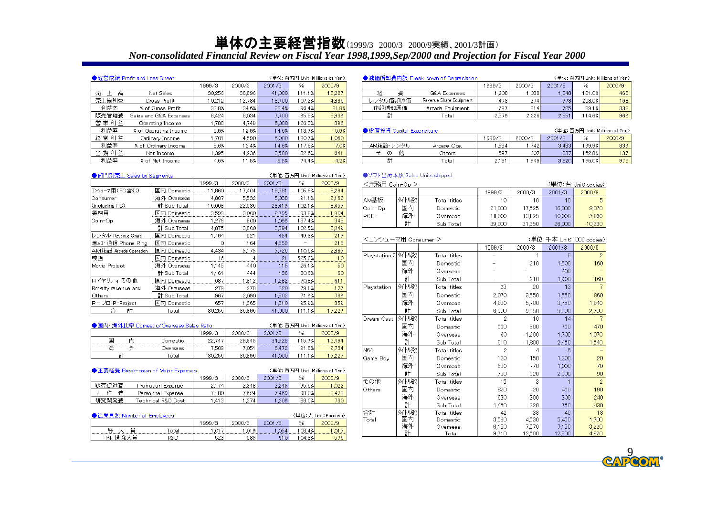### 単体の主要経営指数⑴999/3 2000/3 2000/9実績、2001/3計画) *Non-consolidated Financial Review on Fiscal Year 1998,1999,Sep/2000 and Projection for Fiscal Year 2000*

◆ソフト出荷本数 Sales Units shipped

| ●経営成績 Profit and Loss Sheet.<br>(単位: 百万円 Unit: Millions of Yen) |                        |        |        |        |        |        |  |  |
|-----------------------------------------------------------------|------------------------|--------|--------|--------|--------|--------|--|--|
|                                                                 |                        | 999/3  | 2000/3 | 2001/3 | %      | 2000/9 |  |  |
| 高<br>売                                                          | Net Sales              | 30,256 | 36,896 | 41.000 | 111.1% | 15,227 |  |  |
| 売上総利益                                                           | Gross Profit           | 10.212 | 12.784 | 13,700 | 107.2% | 4,836  |  |  |
| 利益率                                                             | % of Gross Profit      | 33.8%  | 34.6%  | 33.4%  | 96.4%  | 31.8%  |  |  |
| 販売管理費                                                           | Sales and G&A Expenses | 8.424  | 8.034  | 7.700  | 95.8%  | 3,939  |  |  |
| 営業利益                                                            | Operating Income       | 1,788  | 4.749  | 6.000  | 126.3% | 896    |  |  |
| 利益率                                                             | % of Operating Income  | 5.9%   | 12.9%  | 14.6%  | 113.7% | 5.9%   |  |  |
| 経常利益                                                            | Ordinary Income        | 1.701  | 4.590  | 6,000  | 130.7% | 1,060  |  |  |
| 利益率                                                             | % of Ordinary Income   | 5.6%   | 12.4%  | 14.6%  | 117.6% | 7.0%   |  |  |
| 当 期 利 益                                                         | Net Income             | 1.395  | 4.236  | 3,500  | 82.6%  | 641    |  |  |
| 利益率                                                             | % of Net Income        | 4.6%   | 11.5%  | 8.5%   | 74.4%  | 4.2%   |  |  |

| ●減価償却費内訳 Break-down of Depreciation<br>(単位: 百万円 Unit: Millions of Yen) |                         |        |        |        |        |        |  |  |  |
|------------------------------------------------------------------------|-------------------------|--------|--------|--------|--------|--------|--|--|--|
|                                                                        |                         | 1999/3 | 2000/3 | 2001/3 | %      | 2000/9 |  |  |  |
| 経<br>費                                                                 | <b>G&amp;A Expenses</b> | .208   | .038   | .048   | 101.0% | 463    |  |  |  |
| レンタル償却原価<br>Revenue Share Equipment                                    |                         | 473    | 374    | 778    | 208.0% | 168    |  |  |  |
| 施設償却原価                                                                 | Arcade Equipment        | 697    | 814    | 725    | 89.1%  | 338    |  |  |  |
| 計                                                                      | l otal                  | 2,379  | 2.226  | 2.551  | 114.6% | 969    |  |  |  |

| ●設備投資 Capital Expenditure<br>(単位: 百万円 Unit: Millions of Yen) |             |        |        |        |        |        |  |  |
|--------------------------------------------------------------|-------------|--------|--------|--------|--------|--------|--|--|
|                                                              |             | 1999/3 | 2000/3 | 2001/3 | %      | 2000/9 |  |  |
| AM施設・レンタル                                                    | Arcade Ope. | .594   | 7421   | 3.483  | 199.9% | 839    |  |  |
| 他<br>σ                                                       | Others      | 597    | 207    | 337    | 162.8% | 137    |  |  |
| $\bar{z}$                                                    | `otal       | 2.191  | 949. ا | 3.820  | 196.0% | 976    |  |  |

| (単位:百万円 Unit: Millions of Yen)<br>▶部門別売上 Sales by Segments |                |        |        |        |        |        |
|------------------------------------------------------------|----------------|--------|--------|--------|--------|--------|
|                                                            |                | 1999/3 | 2000/3 | 2001/3 | %      | 2000/9 |
| コンシューマ用(PC含む)                                              | 国内 Domestic    | 11,860 | 17,404 | 18,381 | 105.6% | 6,294  |
| lConsumer                                                  | 海外 Overseas    | 4.807  | 5,532  | 5,038  | 91.1%  | 2,162  |
| (including PC)                                             | 計 Sub Total    | 16,668 | 22,936 | 23,419 | 102.1% | 8,455  |
| 業務用                                                        | 国内 Domestic    | 3,599  | 3,000  | 2,795  | 93.2%  | 1,904  |
| Coin-Op                                                    | 海外 Overseas    | 1,276  | 800    | 1,099  | 137.4% | 345    |
|                                                            | 計 Sub Total    | 4.875  | 3,800  | 3.894  | 102.5% | 2,249  |
| レンタル Revenue Share                                         | 国内<br>Domestic | 1.494  | 921    | 454    | 49.3%  | 215    |
| 着刈・通信 Phone Ring                                           | 国内<br>Domestic | ∩      | 164    | 4,559  |        | 216    |
| AM施設 Arcade Operation                                      | 国内<br>Domestic | 4.434  | 5,175  | 5,726  | 110.6% | 2,885  |
| 映画                                                         | 国内 Domestic    | 16     |        | 21     | 525.0% | 10     |
| Movie Project                                              | 海外 Overseas    | 1.145  | 440    | 115    | 26.1%  | 50     |
|                                                            | 計 Sub Total    | 1.161  | 444    | 136    | 30.6%  | 60     |
| ロイヤリティ その 他                                                | 国内 Domestic    | 687    | 1,812  | 1,282  | 70.8%  | 611    |
| Royalty revenue and                                        | 海外 Overseas    | 279    | 278    | 220    | 79.1%  | 177    |
| Others                                                     | 計 Sub Total    | 967    | 2,090  | 1,502  | 71.9%  | 789    |
| P-ブロ P-Project                                             | 国内 Domestic    | 657    | 1,365  | 1,310  | 95.9%  | 359    |
| 計<br>슴                                                     | Total          | 30.256 | 36,896 | 41,000 | 111.1% | 15,227 |

|   |    | ▲国内· 海外比率 Domestic/Overseas Sales Ratio |         |        | (単位: 百万円 Unit: Millions of Yen) |        |         |
|---|----|-----------------------------------------|---------|--------|---------------------------------|--------|---------|
|   |    |                                         | 1999/3  | 2000/3 | 2001/3                          | %      | 2000/9  |
| 玉 | 庂  | Domestic                                | 22.747  | 29.845 | 34528                           | 115.7% | l 2 494 |
| 海 |    | Dverseas.                               | 7.509 i | 7.05)  | 6472                            | 91.8%  | 2.734   |
|   | Ē۱ | l'otal                                  | 30.256  | 36.896 | 41.000                          |        | 5.22    |

| ●主要経費 Break-down of Major Expenses<br>(単位: 百万円 Unit: Millions of Yen) |                     |         |        |        |       |        |  |
|-----------------------------------------------------------------------|---------------------|---------|--------|--------|-------|--------|--|
|                                                                       |                     | 1999/3  | 2000/3 | 2001/3 | %     | 2000/9 |  |
| 販売促進費                                                                 | Promotion Expense   | 2.174   | 2.348  | 2.245  | 95.6% | 1,022  |  |
| 書<br>件                                                                | Personnel Expense   | 7,1801  | 7.624  | 7.469  | 98.0% | 3.473  |  |
| 研究開発費                                                                 | Technical R&D Cost. | l 413 l | 1.374  | 1.209  | 88.0% | 730    |  |

| ◢従業員数 Number of Employees |        | (単位: 人 Unit: Persons) |        |         |        |     |
|---------------------------|--------|-----------------------|--------|---------|--------|-----|
|                           |        | 1999/3                | 2000/3 | 2001 /3 | %      |     |
| 総<br>≣                    | l'otal | $+017$                | .019   | .054    | 103.4% | .01 |
| 巴耳科                       | R&D    | 523                   | 585    | 610     | 04.3%  | 576 |

| <業務用 Coin-Op > |     | (単位:台 Unit:copies) |        |        |        |        |
|----------------|-----|--------------------|--------|--------|--------|--------|
|                |     |                    | 1999/3 | 2000/3 | 2001/3 | 2000/9 |
| AM基板           | 外围数 | Total titles       | 10     | 10     | 10     |        |
| lCoin-Opl      | 国内  | Domestic           | 21,000 | 17.525 | 16,000 | 8.070  |
| PCB            | 海外  | Overseas           | 18.000 | 13.825 | 10.000 | 2,860  |
|                | 計   | Sub Total          | 39.000 | 31.350 | 26,000 | 10,930 |

| <コンシューマ用 Consumer > |     |              |                |                  | (単位:千本 Unit: '000 copies) |                |  |  |
|---------------------|-----|--------------|----------------|------------------|---------------------------|----------------|--|--|
|                     |     |              | 1999/3         | 2000/3<br>2001/3 |                           |                |  |  |
| Playstation 2 9イトル数 |     | Total titles |                |                  | 6                         | $\overline{2}$ |  |  |
|                     | 国内  | Domestic     |                | 210              | 1,500                     | 160            |  |  |
|                     | 海外  | Overseas     |                |                  | 400                       |                |  |  |
|                     | 計   | Sub Total    |                | 210              | 1,900                     | 160            |  |  |
| Playstation         | 外围数 | Total titles | 23             | 20               | 13                        |                |  |  |
|                     | 国内  | Domestic     | 2,070          | 3,550            | 1,550                     | 860            |  |  |
|                     | 海外  | Overseas     | 4,830          | 5,700            | 3,750                     | 1,840          |  |  |
|                     | 計   | Sub Total    | 6,900          | 9,250            | 5,300                     | 2,700          |  |  |
| Dream Cast          | 外围数 | Total titles | 2              | 10               | 14                        |                |  |  |
|                     | 国内  | Domestic     | 550            | 600              | 750                       | 470            |  |  |
|                     | 海外  | Overseas     | 60             | 1,200            | 1,700                     | 1,070          |  |  |
|                     | 計   | Sub Total    | 610            | 1,800            | 2,450                     | 1,540          |  |  |
| N64                 | 外围数 | Total titles | $\overline{2}$ | 4                | 6                         |                |  |  |
| Game Bov            | 国内  | Domestic     | 120            | 150              | 1,200                     | 20             |  |  |
|                     | 海外  | Overseas     | 630            | 770              | 1,000                     | 70             |  |  |
|                     | 計   | Sub Total    | 750            | 920              | 2,200                     | 90             |  |  |
| その他                 | 外围数 | Total titles | 15             | я                |                           | $\overline{2}$ |  |  |
| Others              | 国内  | Domestic     | 820            | 20               | 450                       | 190            |  |  |
|                     | 海外  | Overseas     | 630            | 300              | 300                       | 240            |  |  |
|                     | 計   | Sub Total    | 1,450          | 320              | 750                       | 430            |  |  |
| 合計                  | 外围数 | Total titles | 42             | 38               | 40                        | 18             |  |  |
| Total               | 国内  | Domestic     | 3.560          | 4,530            | 5.450                     | 1,700          |  |  |
|                     | 海外  | Overseas     | 6,150          | 7.970            | 7,150                     | 3,220          |  |  |
|                     | 計   | Total        | 9,710          | 12,500           | 12,600                    | 4,920          |  |  |